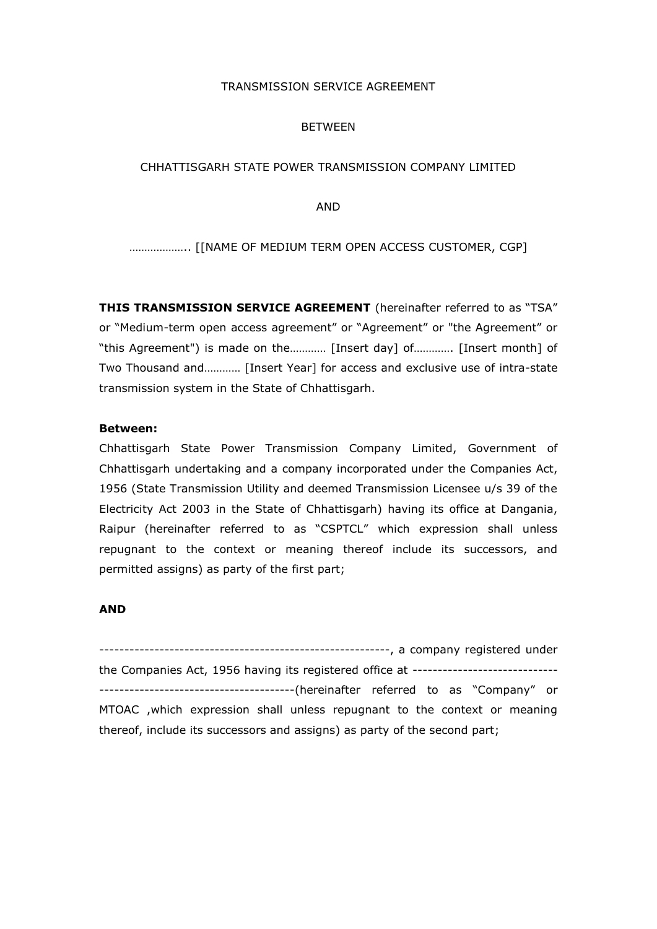#### TRANSMISSION SERVICE AGREEMENT

#### BETWEEN

#### CHHATTISGARH STATE POWER TRANSMISSION COMPANY LIMITED

AND

……………….. [[NAME OF MEDIUM TERM OPEN ACCESS CUSTOMER, CGP]

**THIS TRANSMISSION SERVICE AGREEMENT** (hereinafter referred to as "TSA" or "Medium-term open access agreement" or "Agreement" or "the Agreement" or "this Agreement") is made on the………… [Insert day] of…………. [Insert month] of Two Thousand and………… [Insert Year] for access and exclusive use of intra-state transmission system in the State of Chhattisgarh.

#### **Between:**

Chhattisgarh State Power Transmission Company Limited, Government of Chhattisgarh undertaking and a company incorporated under the Companies Act, 1956 (State Transmission Utility and deemed Transmission Licensee u/s 39 of the Electricity Act 2003 in the State of Chhattisgarh) having its office at Dangania, Raipur (hereinafter referred to as "CSPTCL" which expression shall unless repugnant to the context or meaning thereof include its successors, and permitted assigns) as party of the first part;

#### **AND**

----------------------------------------------------------, a company registered under the Companies Act, 1956 having its registered office at ----------------------------- ---------------------------------------(hereinafter referred to as "Company" or MTOAC ,which expression shall unless repugnant to the context or meaning thereof, include its successors and assigns) as party of the second part;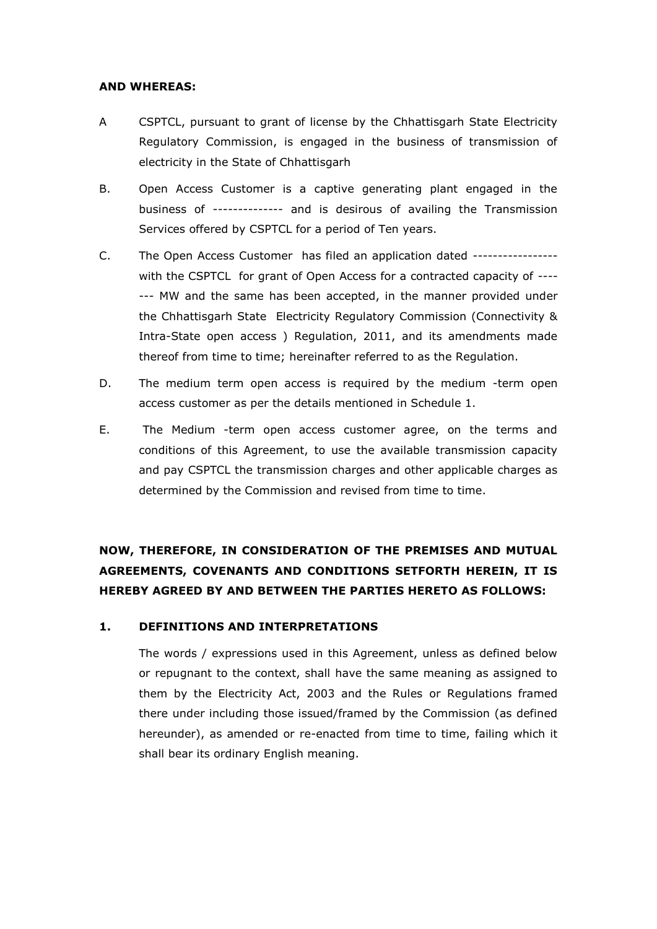#### **AND WHEREAS:**

- A CSPTCL, pursuant to grant of license by the Chhattisgarh State Electricity Regulatory Commission, is engaged in the business of transmission of electricity in the State of Chhattisgarh
- B. Open Access Customer is a captive generating plant engaged in the business of -------------- and is desirous of availing the Transmission Services offered by CSPTCL for a period of Ten years.
- C. The Open Access Customer has filed an application dated ---------------- with the CSPTCL for grant of Open Access for a contracted capacity of ---- --- MW and the same has been accepted, in the manner provided under the Chhattisgarh State Electricity Regulatory Commission (Connectivity & Intra-State open access ) Regulation, 2011, and its amendments made thereof from time to time; hereinafter referred to as the Regulation.
- D. The medium term open access is required by the medium -term open access customer as per the details mentioned in Schedule 1.
- E. The Medium -term open access customer agree, on the terms and conditions of this Agreement, to use the available transmission capacity and pay CSPTCL the transmission charges and other applicable charges as determined by the Commission and revised from time to time.

# **NOW, THEREFORE, IN CONSIDERATION OF THE PREMISES AND MUTUAL AGREEMENTS, COVENANTS AND CONDITIONS SETFORTH HEREIN, IT IS HEREBY AGREED BY AND BETWEEN THE PARTIES HERETO AS FOLLOWS:**

## **1. DEFINITIONS AND INTERPRETATIONS**

The words / expressions used in this Agreement, unless as defined below or repugnant to the context, shall have the same meaning as assigned to them by the Electricity Act, 2003 and the Rules or Regulations framed there under including those issued/framed by the Commission (as defined hereunder), as amended or re-enacted from time to time, failing which it shall bear its ordinary English meaning.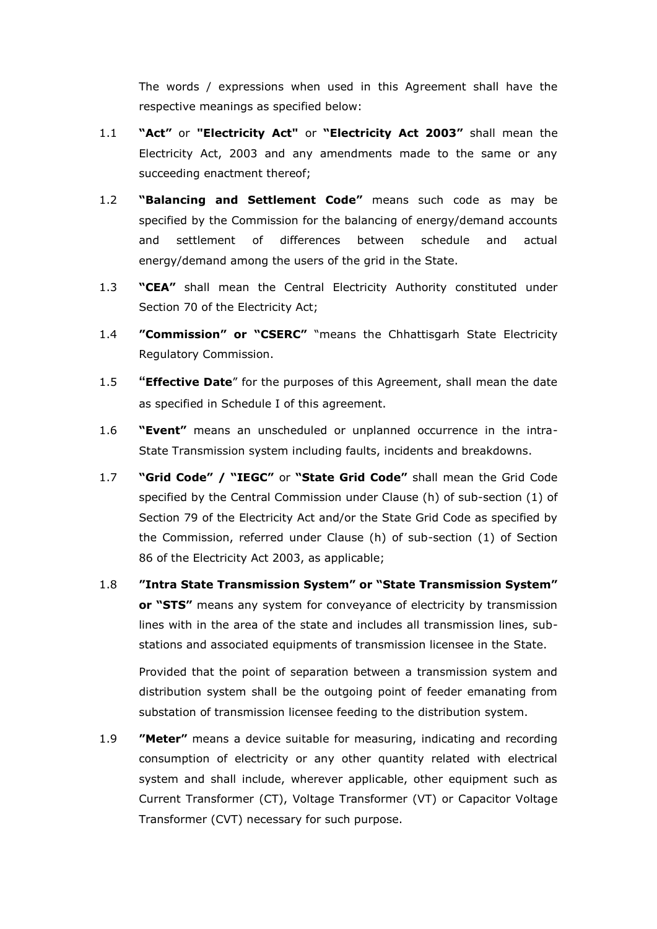The words / expressions when used in this Agreement shall have the respective meanings as specified below:

- 1.1 **"Act"** or **"Electricity Act"** or **"Electricity Act 2003"** shall mean the Electricity Act, 2003 and any amendments made to the same or any succeeding enactment thereof;
- 1.2 **"Balancing and Settlement Code"** means such code as may be specified by the Commission for the balancing of energy/demand accounts and settlement of differences between schedule and actual energy/demand among the users of the grid in the State.
- 1.3 **"CEA"** shall mean the Central Electricity Authority constituted under Section 70 of the Electricity Act;
- 1.4 **"Commission" or "CSERC"** "means the Chhattisgarh State Electricity Regulatory Commission.
- 1.5 **"Effective Date**" for the purposes of this Agreement, shall mean the date as specified in Schedule I of this agreement.
- 1.6 **"Event"** means an unscheduled or unplanned occurrence in the intra-State Transmission system including faults, incidents and breakdowns.
- 1.7 **"Grid Code" / "IEGC"** or **"State Grid Code"** shall mean the Grid Code specified by the Central Commission under Clause (h) of sub-section (1) of Section 79 of the Electricity Act and/or the State Grid Code as specified by the Commission, referred under Clause (h) of sub-section (1) of Section 86 of the Electricity Act 2003, as applicable;
- 1.8 **"Intra State Transmission System" or "State Transmission System" or "STS"** means any system for conveyance of electricity by transmission lines with in the area of the state and includes all transmission lines, substations and associated equipments of transmission licensee in the State.

Provided that the point of separation between a transmission system and distribution system shall be the outgoing point of feeder emanating from substation of transmission licensee feeding to the distribution system.

1.9 **"Meter"** means a device suitable for measuring, indicating and recording consumption of electricity or any other quantity related with electrical system and shall include, wherever applicable, other equipment such as Current Transformer (CT), Voltage Transformer (VT) or Capacitor Voltage Transformer (CVT) necessary for such purpose.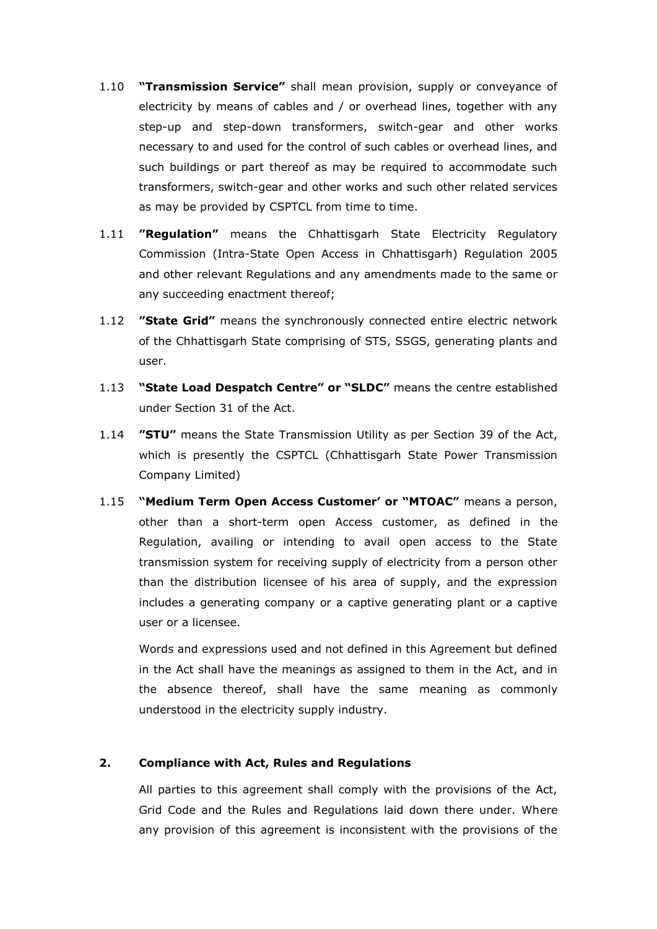- 1.10 **"Transmission Service"** shall mean provision, supply or conveyance of electricity by means of cables and / or overhead lines, together with any step-up and step-down transformers, switch-gear and other works necessary to and used for the control of such cables or overhead lines, and such buildings or part thereof as may be required to accommodate such transformers, switch-gear and other works and such other related services as may be provided by CSPTCL from time to time.
- 1.11 **"Regulation"** means the Chhattisgarh State Electricity Regulatory Commission (Intra-State Open Access in Chhattisgarh) Regulation 2005 and other relevant Regulations and any amendments made to the same or any succeeding enactment thereof;
- 1.12 **"State Grid"** means the synchronously connected entire electric network of the Chhattisgarh State comprising of STS, SSGS, generating plants and user.
- 1.13 **"State Load Despatch Centre" or "SLDC"** means the centre established under Section 31 of the Act.
- 1.14 **"STU"** means the State Transmission Utility as per Section 39 of the Act, which is presently the CSPTCL (Chhattisgarh State Power Transmission Company Limited)
- 1.15 **"Medium Term Open Access Customer' or "MTOAC"** means a person, other than a short-term open Access customer, as defined in the Regulation, availing or intending to avail open access to the State transmission system for receiving supply of electricity from a person other than the distribution licensee of his area of supply, and the expression includes a generating company or a captive generating plant or a captive user or a licensee.

Words and expressions used and not defined in this Agreement but defined in the Act shall have the meanings as assigned to them in the Act, and in the absence thereof, shall have the same meaning as commonly understood in the electricity supply industry.

#### **2. Compliance with Act, Rules and Regulations**

All parties to this agreement shall comply with the provisions of the Act, Grid Code and the Rules and Regulations laid down there under. Where any provision of this agreement is inconsistent with the provisions of the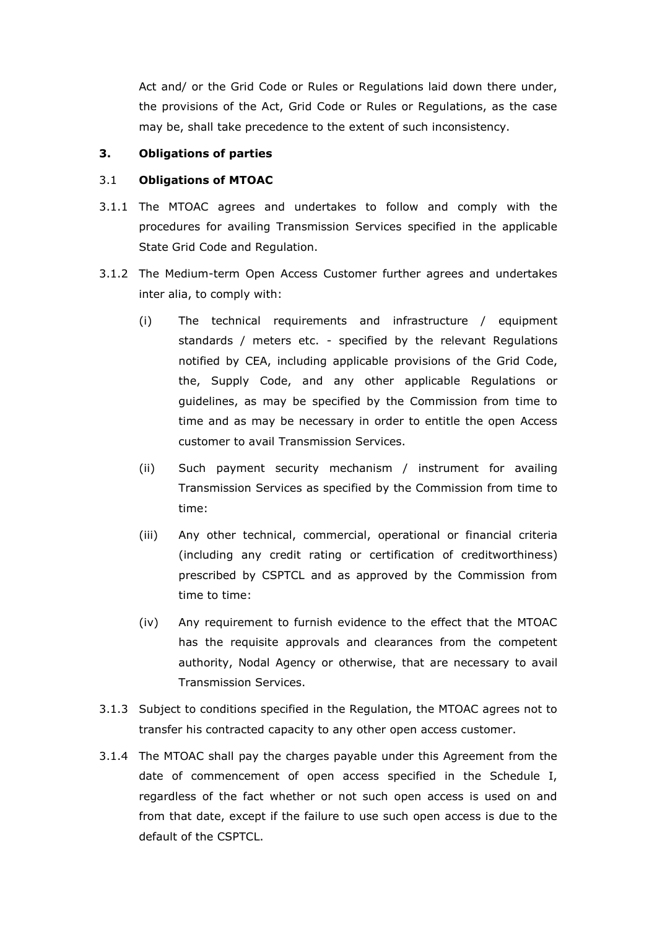Act and/ or the Grid Code or Rules or Regulations laid down there under, the provisions of the Act, Grid Code or Rules or Regulations, as the case may be, shall take precedence to the extent of such inconsistency.

#### **3. Obligations of parties**

#### 3.1 **Obligations of MTOAC**

- 3.1.1 The MTOAC agrees and undertakes to follow and comply with the procedures for availing Transmission Services specified in the applicable State Grid Code and Regulation.
- 3.1.2 The Medium-term Open Access Customer further agrees and undertakes inter alia, to comply with:
	- (i) The technical requirements and infrastructure / equipment standards / meters etc. - specified by the relevant Regulations notified by CEA, including applicable provisions of the Grid Code, the, Supply Code, and any other applicable Regulations or guidelines, as may be specified by the Commission from time to time and as may be necessary in order to entitle the open Access customer to avail Transmission Services.
	- (ii) Such payment security mechanism / instrument for availing Transmission Services as specified by the Commission from time to time:
	- (iii) Any other technical, commercial, operational or financial criteria (including any credit rating or certification of creditworthiness) prescribed by CSPTCL and as approved by the Commission from time to time:
	- (iv) Any requirement to furnish evidence to the effect that the MTOAC has the requisite approvals and clearances from the competent authority, Nodal Agency or otherwise, that are necessary to avail Transmission Services.
- 3.1.3 Subject to conditions specified in the Regulation, the MTOAC agrees not to transfer his contracted capacity to any other open access customer.
- 3.1.4 The MTOAC shall pay the charges payable under this Agreement from the date of commencement of open access specified in the Schedule I, regardless of the fact whether or not such open access is used on and from that date, except if the failure to use such open access is due to the default of the CSPTCL.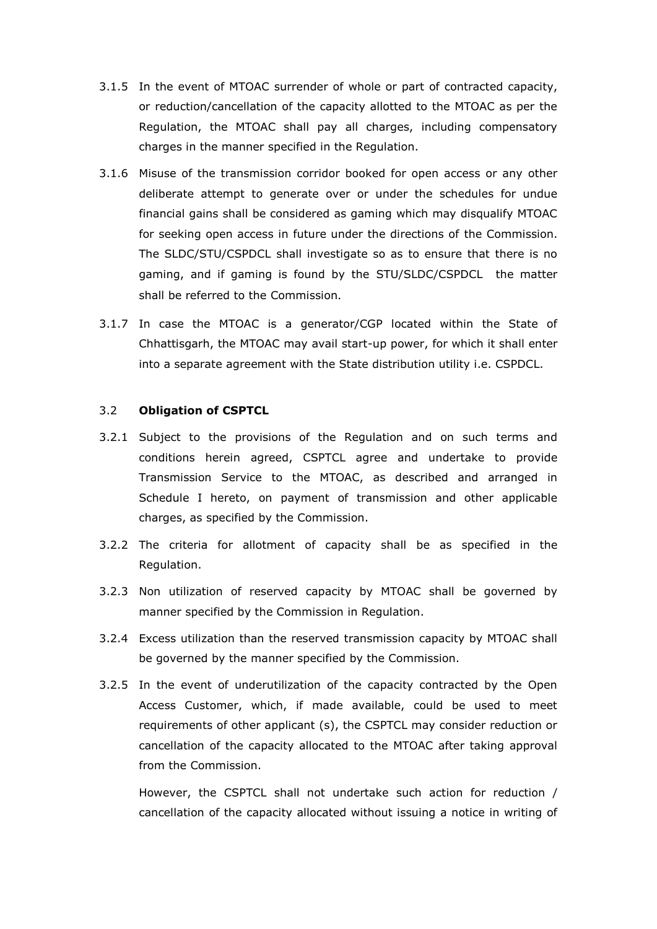- 3.1.5 In the event of MTOAC surrender of whole or part of contracted capacity, or reduction/cancellation of the capacity allotted to the MTOAC as per the Regulation, the MTOAC shall pay all charges, including compensatory charges in the manner specified in the Regulation.
- 3.1.6 Misuse of the transmission corridor booked for open access or any other deliberate attempt to generate over or under the schedules for undue financial gains shall be considered as gaming which may disqualify MTOAC for seeking open access in future under the directions of the Commission. The SLDC/STU/CSPDCL shall investigate so as to ensure that there is no gaming, and if gaming is found by the STU/SLDC/CSPDCL the matter shall be referred to the Commission.
- 3.1.7 In case the MTOAC is a generator/CGP located within the State of Chhattisgarh, the MTOAC may avail start-up power, for which it shall enter into a separate agreement with the State distribution utility i.e. CSPDCL.

#### 3.2 **Obligation of CSPTCL**

- 3.2.1 Subject to the provisions of the Regulation and on such terms and conditions herein agreed, CSPTCL agree and undertake to provide Transmission Service to the MTOAC, as described and arranged in Schedule I hereto, on payment of transmission and other applicable charges, as specified by the Commission.
- 3.2.2 The criteria for allotment of capacity shall be as specified in the Regulation.
- 3.2.3 Non utilization of reserved capacity by MTOAC shall be governed by manner specified by the Commission in Regulation.
- 3.2.4 Excess utilization than the reserved transmission capacity by MTOAC shall be governed by the manner specified by the Commission.
- 3.2.5 In the event of underutilization of the capacity contracted by the Open Access Customer, which, if made available, could be used to meet requirements of other applicant (s), the CSPTCL may consider reduction or cancellation of the capacity allocated to the MTOAC after taking approval from the Commission.

However, the CSPTCL shall not undertake such action for reduction / cancellation of the capacity allocated without issuing a notice in writing of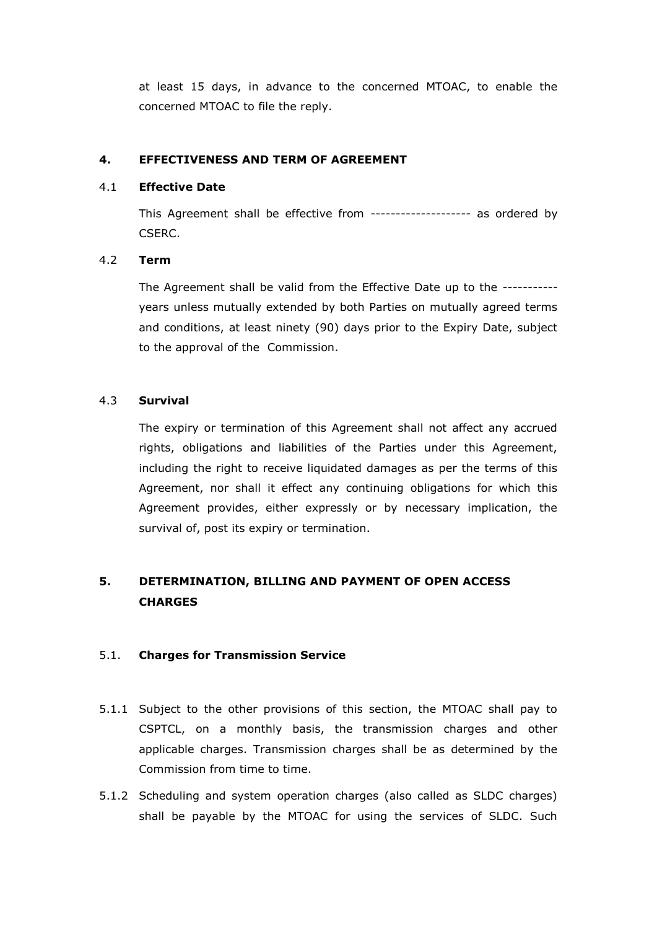at least 15 days, in advance to the concerned MTOAC, to enable the concerned MTOAC to file the reply.

#### **4. EFFECTIVENESS AND TERM OF AGREEMENT**

#### 4.1 **Effective Date**

This Agreement shall be effective from -------------------- as ordered by CSERC.

## 4.2 **Term**

The Agreement shall be valid from the Effective Date up to the ---------- years unless mutually extended by both Parties on mutually agreed terms and conditions, at least ninety (90) days prior to the Expiry Date, subject to the approval of the Commission.

## 4.3 **Survival**

The expiry or termination of this Agreement shall not affect any accrued rights, obligations and liabilities of the Parties under this Agreement, including the right to receive liquidated damages as per the terms of this Agreement, nor shall it effect any continuing obligations for which this Agreement provides, either expressly or by necessary implication, the survival of, post its expiry or termination.

# **5. DETERMINATION, BILLING AND PAYMENT OF OPEN ACCESS CHARGES**

## 5.1. **Charges for Transmission Service**

- 5.1.1 Subject to the other provisions of this section, the MTOAC shall pay to CSPTCL, on a monthly basis, the transmission charges and other applicable charges. Transmission charges shall be as determined by the Commission from time to time.
- 5.1.2 Scheduling and system operation charges (also called as SLDC charges) shall be payable by the MTOAC for using the services of SLDC. Such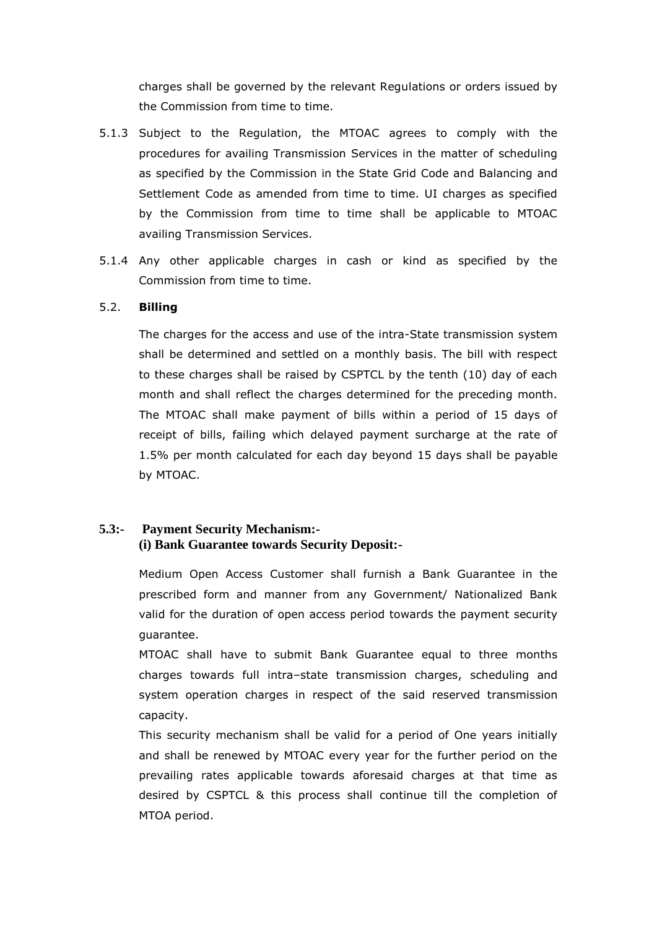charges shall be governed by the relevant Regulations or orders issued by the Commission from time to time.

- 5.1.3 Subject to the Regulation, the MTOAC agrees to comply with the procedures for availing Transmission Services in the matter of scheduling as specified by the Commission in the State Grid Code and Balancing and Settlement Code as amended from time to time. UI charges as specified by the Commission from time to time shall be applicable to MTOAC availing Transmission Services.
- 5.1.4 Any other applicable charges in cash or kind as specified by the Commission from time to time.

#### 5.2. **Billing**

The charges for the access and use of the intra-State transmission system shall be determined and settled on a monthly basis. The bill with respect to these charges shall be raised by CSPTCL by the tenth (10) day of each month and shall reflect the charges determined for the preceding month. The MTOAC shall make payment of bills within a period of 15 days of receipt of bills, failing which delayed payment surcharge at the rate of 1.5% per month calculated for each day beyond 15 days shall be payable by MTOAC.

# **5.3:- Payment Security Mechanism:- (i) Bank Guarantee towards Security Deposit:-**

Medium Open Access Customer shall furnish a Bank Guarantee in the prescribed form and manner from any Government/ Nationalized Bank valid for the duration of open access period towards the payment security guarantee.

MTOAC shall have to submit Bank Guarantee equal to three months charges towards full intra–state transmission charges, scheduling and system operation charges in respect of the said reserved transmission capacity.

This security mechanism shall be valid for a period of One years initially and shall be renewed by MTOAC every year for the further period on the prevailing rates applicable towards aforesaid charges at that time as desired by CSPTCL & this process shall continue till the completion of MTOA period.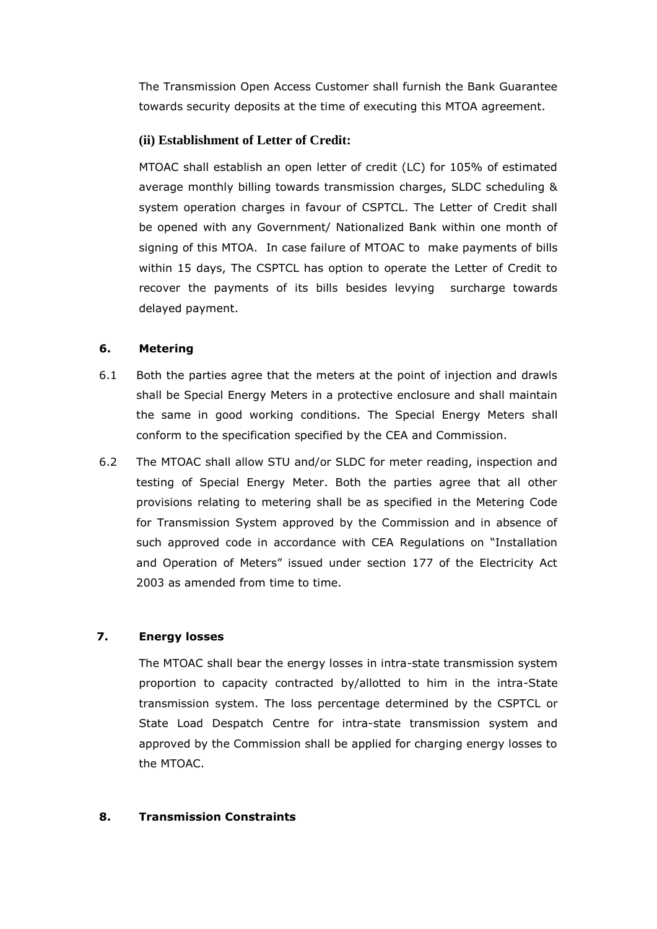The Transmission Open Access Customer shall furnish the Bank Guarantee towards security deposits at the time of executing this MTOA agreement.

## **(ii) Establishment of Letter of Credit:**

MTOAC shall establish an open letter of credit (LC) for 105% of estimated average monthly billing towards transmission charges, SLDC scheduling & system operation charges in favour of CSPTCL. The Letter of Credit shall be opened with any Government/ Nationalized Bank within one month of signing of this MTOA. In case failure of MTOAC to make payments of bills within 15 days, The CSPTCL has option to operate the Letter of Credit to recover the payments of its bills besides levying surcharge towards delayed payment.

## **6. Metering**

- 6.1 Both the parties agree that the meters at the point of injection and drawls shall be Special Energy Meters in a protective enclosure and shall maintain the same in good working conditions. The Special Energy Meters shall conform to the specification specified by the CEA and Commission.
- 6.2 The MTOAC shall allow STU and/or SLDC for meter reading, inspection and testing of Special Energy Meter. Both the parties agree that all other provisions relating to metering shall be as specified in the Metering Code for Transmission System approved by the Commission and in absence of such approved code in accordance with CEA Regulations on "Installation and Operation of Meters" issued under section 177 of the Electricity Act 2003 as amended from time to time.

# **7. Energy losses**

The MTOAC shall bear the energy losses in intra-state transmission system proportion to capacity contracted by/allotted to him in the intra-State transmission system. The loss percentage determined by the CSPTCL or State Load Despatch Centre for intra-state transmission system and approved by the Commission shall be applied for charging energy losses to the MTOAC.

## **8. Transmission Constraints**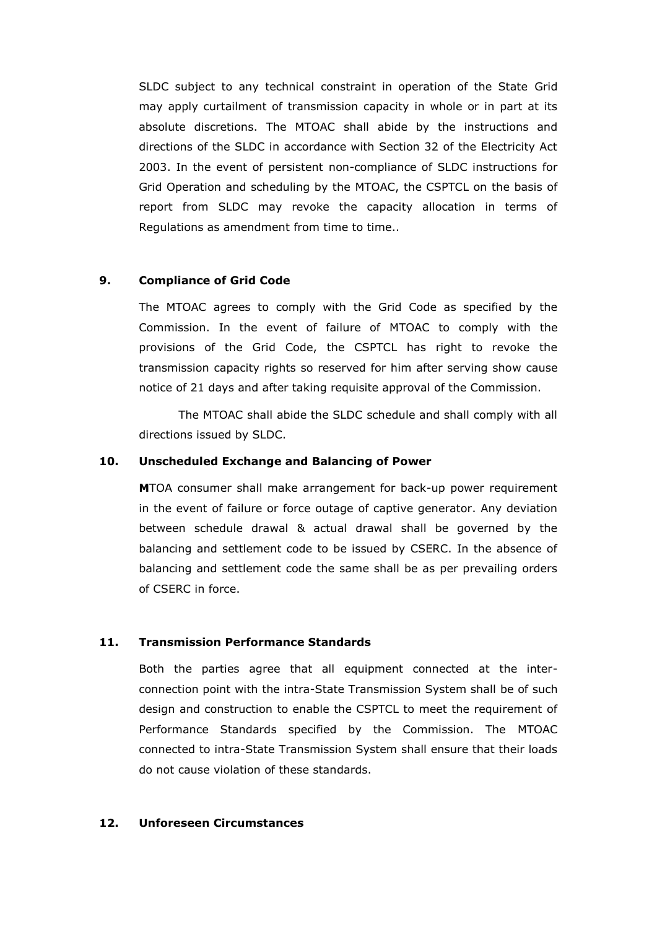SLDC subject to any technical constraint in operation of the State Grid may apply curtailment of transmission capacity in whole or in part at its absolute discretions. The MTOAC shall abide by the instructions and directions of the SLDC in accordance with Section 32 of the Electricity Act 2003. In the event of persistent non-compliance of SLDC instructions for Grid Operation and scheduling by the MTOAC, the CSPTCL on the basis of report from SLDC may revoke the capacity allocation in terms of Regulations as amendment from time to time..

#### **9. Compliance of Grid Code**

The MTOAC agrees to comply with the Grid Code as specified by the Commission. In the event of failure of MTOAC to comply with the provisions of the Grid Code, the CSPTCL has right to revoke the transmission capacity rights so reserved for him after serving show cause notice of 21 days and after taking requisite approval of the Commission.

The MTOAC shall abide the SLDC schedule and shall comply with all directions issued by SLDC.

#### **10. Unscheduled Exchange and Balancing of Power**

**M**TOA consumer shall make arrangement for back-up power requirement in the event of failure or force outage of captive generator. Any deviation between schedule drawal & actual drawal shall be governed by the balancing and settlement code to be issued by CSERC. In the absence of balancing and settlement code the same shall be as per prevailing orders of CSERC in force.

## **11. Transmission Performance Standards**

Both the parties agree that all equipment connected at the interconnection point with the intra-State Transmission System shall be of such design and construction to enable the CSPTCL to meet the requirement of Performance Standards specified by the Commission. The MTOAC connected to intra-State Transmission System shall ensure that their loads do not cause violation of these standards.

#### **12. Unforeseen Circumstances**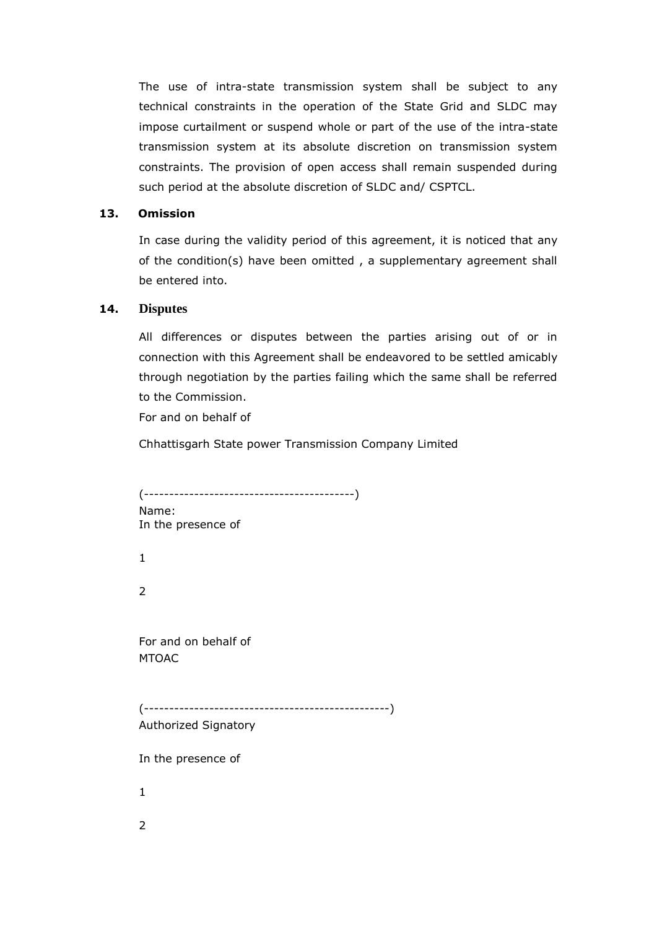The use of intra-state transmission system shall be subject to any technical constraints in the operation of the State Grid and SLDC may impose curtailment or suspend whole or part of the use of the intra-state transmission system at its absolute discretion on transmission system constraints. The provision of open access shall remain suspended during such period at the absolute discretion of SLDC and/ CSPTCL.

## **13. Omission**

In case during the validity period of this agreement, it is noticed that any of the condition(s) have been omitted , a supplementary agreement shall be entered into.

#### **14. Disputes**

All differences or disputes between the parties arising out of or in connection with this Agreement shall be endeavored to be settled amicably through negotiation by the parties failing which the same shall be referred to the Commission.

For and on behalf of

Chhattisgarh State power Transmission Company Limited

(------------------------------------------) Name: In the presence of 1 2 For and on behalf of MTOAC (-------------------------------------------------) Authorized Signatory In the presence of 1 2